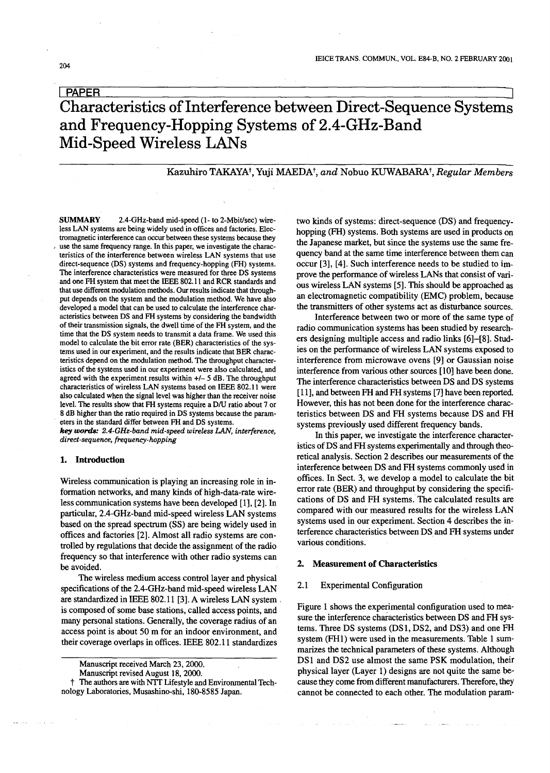# **I PAPER EXECUTE A PAPER I** PAPER Characteristics ofInterference between Direct-Sequence Systems and Frequency-Hopping Systems of 2.4-GHz-Band Mid-Speed Wireless LANs

## Kazuhiro TAKAYAt,Yuji MAEDAt, *and* Nobuo KUWABARAt, *Regular Members*

SUMMARY 2.4-GHz-band mid-speed (1- to 2-Mbit/sec) wireless LAN systems are being widely used in offices and factories. Electromagnetic interference can occur between these systems because they use the same frequency range. In this paper, we investigate the characteristics of the interference between wireless LAN systems that use direct-sequence (DS) systems and frequency-hopping (FH) systems. The interference characteristics were measured for three DS systems and one FH system that meet the IEEE 802.11 and RCR standards and that use different modulation methods. Our results indicate that throughput depends on the system and the modulation method. We have also developed a model that can be used to calculate the interference characteristics between DS and FH systems by considering the bandwidth of their transmission signals, the dwell time of the FH system, and the time that the DS system needs to transmit a data frame. We used this model to calculate the bit error rate (BER) characteristics of the systems used in our experiment, and the results indicate that BER characteristics depend on the modulation method. The throughput characteristics of the systems used in our experiment were also calculated, and agreed with the experiment results within  $+/-$  5 dB. The throughput characteristics of wireless LAN systems based on IEEE 802.11 were also calculated when the signal level was higher than the receiver noise level. The results show that FH systems require a D/U ratio about 7 or 8 dB higher than the ratio required in DS systems because the parameters in the standard differ between FH and DS systems.

*key words: 2.4-GHz-band mid-speed wireless* £AN, *interference, direct-sequence, frequency-hopping*

#### 1. Introduction

Wireless communication is playing an increasing role in information networks, and many kinds of high-data-rate wireless communication systems have been developed [1], [2]. In particular, 2.4-GHz-band mid-speed wireless LAN systems based on the spread spectrum (SS) are being widely used in offices and factories [2]. Almost all radio systems are controlled by regulations that decide the assignment of the radio frequency so that interference with other radio systems can be avoided.

The wireless medium access control layer and physical specifications of the 2.4-GHz-band mid-speed wireless LAN are standardized in IEEE 802.11 [3]. A wireless LAN system, is composed of some base stations, called access points, and many personal stations. Generally, the coverage radius of an access point is about 50 m for an indoor environment, and their coverage overlaps in offices. IEEE 802.11 standardizes

The authors are with NIT Lifestyle and Environmental Technology Laboratories, Musashino-shi, 180-8585 Japan.

two kinds of systems: direct-sequence (DS) and frequencyhopping (FH) systems. Both systems are used in products on the Japanese market, but since the systems use the same frequency band at the same time interference between them can occur [3], [4]. Such interference needs to be studied to improve the performance of wireless LANs that consist of various wireless LAN systems [5]. This should be approached as an electromagnetic compatibility (EMC) problem, because the transmitters of other systems act as disturbance sources.

Interference between two or more of the same type of radio communication systems has been studied by researchers designing multiple access and radio links [6]-[8]. Studies on the performance of wireless LAN systems exposed to interference from microwave ovens [9] or Gaussian noise interference from various other sources [10] have been done. The interference characteristics between DS and DS systems [11], and between FH and FH systems [7] have been reported. However, this has not been done for the interference characteristics between DS and FH systems because DS and FH systems previously used different frequency bands.

In this paper, we investigate the interference characteristics of DS and FH systems experimentally and through theoretical analysis. Section 2 describes our measurements of the interference between DS and FH systems commonly used in offices. In Sect. 3, we develop a model to calculate the bit error rate (BER) and throughput by considering the specifications of DS and FH systems. The calculated results are compared with our measured results for the wireless LAN systems used in our experiment. Section 4 describes the interference characteristics between DS and FH systems under various conditions.

### 2. Measurement of Characteristics

### 2.1 Experimental Configuration

Figure 1 shows the experimental configuration used to measure the interference characteristics between DS and FH systems. Three DS systems (DS1, DS2, and DS3) and one PH system (FHl) were used in the measurements. Table 1 summarizes the technical parameters of these systems. Although DS1 and DS2 use almost the same PSK modulation, their physical layer (Layer 1) designs are not quite the same because they come from different manufacturers. Therefore, they cannot be connected to each other. The modulation param-

Manuscript received March 23, 2000.

Manuscript revised August 18, 2000.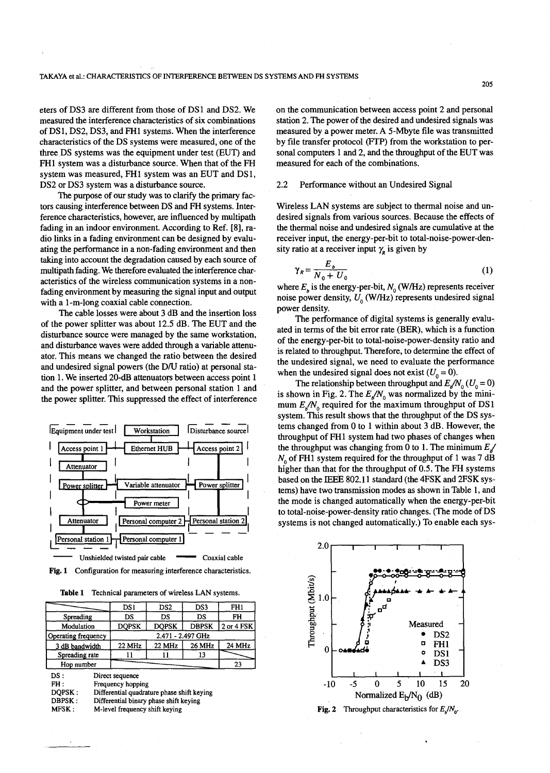eters of DS3 are different from those of DS 1 and DS2. We measured the interference characteristics of six combinations of DSI, DS2, DS3, and PHI systems. When the interference characteristics of the DS systems were measured, one of the three DS systems was the equipment under test (EUT) and FH1 system was a disturbance source. When that of the FH system was measured, FHI system was an EUT and DSI, DS2 or DS3 system was a disturbance source.

The purpose of our study was to clarify the primary factors causing interference between DS and PH systems. Interference characteristics, however, are influenced by multipath fading in an indoor environment. According to Ref. [8], radio links in a fading environment can be designed by evaluating the performance in a non-fading environment and then taking into account the degradation caused by each source of multipath fading. We therefore evaluated the interference characteristics of the wireless communication systems in a nonfading environment by measuring the signal input and output with a l-m-long coaxial cable connection.

The cable losses were about 3 dB and the insertion loss of the power splitter was about 12.5 dB. The EUT and the disturbance source were managed by the same workstation, and disturbance waves were added through a variable attenuator. This means we changed the ratio between the desired and undesired signal powers (the DIU ratio) at personal station 1. We inserted 20-dB attenuators between access point 1 and the power splitter, and between personal station 1 and the power splitter. This suppressed the effect of interference



Fig. 1 Configuration for measuring interference characteristics.

Table 1 Technical parameters of wireless LAN systems.

| Table 1                        |  |                                      | Technical parameters of wireless LAN systems.                                        |              |            |  |  |  |  |  |
|--------------------------------|--|--------------------------------------|--------------------------------------------------------------------------------------|--------------|------------|--|--|--|--|--|
|                                |  | DS1                                  | DS2<br>DS3                                                                           |              |            |  |  |  |  |  |
| Spreading                      |  | DS                                   | DS                                                                                   | DS           | FH         |  |  |  |  |  |
| Modulation                     |  | <b>DOPSK</b>                         | <b>DOPSK</b>                                                                         | <b>DBPSK</b> | 2 or 4 FSK |  |  |  |  |  |
| Operating frequency            |  | 2.471 - 2.497 GHz                    |                                                                                      |              |            |  |  |  |  |  |
| 3 dB bandwidth                 |  | 22 MHz                               | $-22$ MHz                                                                            | 26 MHz       | 24 MHz     |  |  |  |  |  |
| Spreading rate                 |  |                                      |                                                                                      | 13           |            |  |  |  |  |  |
| Hop number                     |  |                                      | 23                                                                                   |              |            |  |  |  |  |  |
| DS:<br>FH:<br>DOPSK:<br>DBPSK: |  | Direct sequence<br>Frequency hopping | Differential quadrature phase shift keying<br>Differential binary phase shift keying |              |            |  |  |  |  |  |

MFSK: M-level frequency shift keying on the communication between access point 2 and personal station 2. The power of the desired and undesired signals was measured by a power meter. A 5-Mbyte file was transmitted by file transfer protocol (FTP) from the workstation to personal computers 1 and 2, and the throughput of the EUT was measured for each of the combinations.

#### 2.2 Performance without an Undesired Signal

Wireless LAN systems are subject to thermal noise and undesired signals from various sources. Because the effects of the thermal noise and undesired signals are cumulative at the receiver input, the energy-per-bit to total-noise-power-density ratio at a receiver input  $\gamma$  is given by

$$
\gamma_R = \frac{E_b}{N_0 + U_0} \tag{1}
$$

where  $E<sub>n</sub>$  is the energy-per-bit,  $N<sub>0</sub>$  (W/Hz) represents receiver noise power density,  $U_0$  (W/Hz) represents undesired signal power density.

The performance of digital systems is generally evaluated in terms of the bit error rate (BER), which is a function of the energy-per-bit to total-noise-power-density ratio and is related to throughput. Therefore, to determine the effect of the undesired signal, we need to evaluate the performance when the undesired signal does not exist  $(U_0 = 0)$ .

The relationship between throughput and  $E_{\mu}/N_0$  ( $U_0 = 0$ ) is shown in Fig. 2. The  $E_{n}/N_0$  was normalized by the minimum  $E_{\rm s}/N_0$  required for the maximum throughput of DS1 system. This result shows that the throughput of the DS systems changed from 0 to 1 within about 3 dB. However, the throughput of FH1 system had two phases of changes when the throughput was changing from 0 to 1. The minimum  $E_{s}$  $N_0$  of FH1 system required for the throughput of 1 was 7 dB higher than that for the throughput of 0.5. The FH systems based on the IEEE 802.11 standard (the 4FSK and 2FSK systems) have two transmission modes as shown in Table 1, and the mode is changed automatically when the energy-per-bit to total-noise-power-density ratio changes. (The mode of DS systems is not changed automatically.) To enable each sys-



205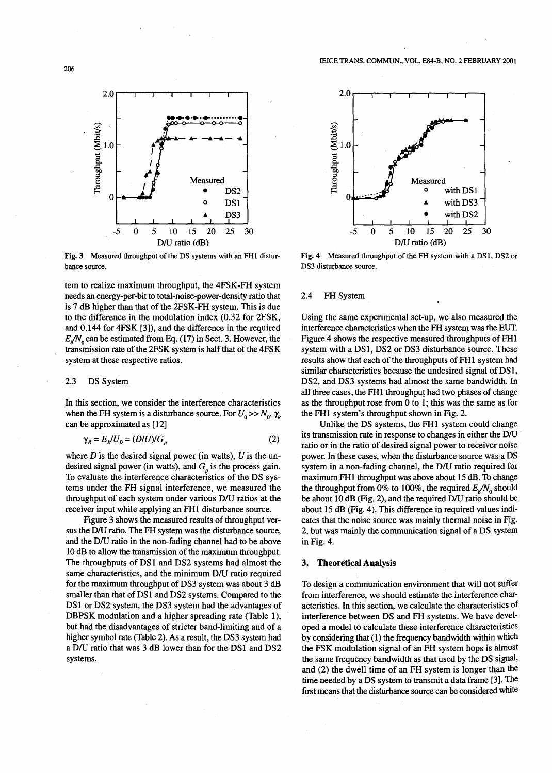

Fig.3 Measured throughput of the DS systems with an FHI disturbance source.

tem to realize maximum throughput, the 4FSK-FH system needs an energy-per-bit to total-noise-power-density ratio that is 7 dB higher than that of the 2FSK-PH system. This is due to the difference in the modulation index (0.32 for 2FSK, and 0.144 for 4FSK [3]), and the difference in the required  $E_n/N_0$  can be estimated from Eq. (17) in Sect. 3. However, the transmission rate of the 2FSK system is half that of the 4FSK system at these respective ratios.

#### 2.3 DS System

In this section, we consider the interference characteristics when the FH system is a disturbance source. For  $U_0 \gg N_0$ ,  $\gamma_R$ can be approximated as [12]

$$
\gamma_R = E_b / U_0 = (D/U) / G_p \tag{2}
$$

where  $D$  is the desired signal power (in watts),  $U$  is the undesired signal power (in watts), and  $G<sub>e</sub>$  is the process gain. To evaluate the interference characteristics of the DS systems under the FH signal interference, we measured the throughput of each system under various DIU ratios at the receiver input while applying an PHI disturbance source.

Figure 3 shows the measured results of throughput versus the D/U ratio. The FH system was the disturbance source, and the DIU ratio in the non-fading channel had to be above 10 dB to allow the transmission of the maximum throughput. The throughputs of DS1 and DS2 systems had almost the same characteristics, and the minimum D/U ratio required for the maximum throughput of DS3 system was about 3 dB smaller than that of DS1 and DS2 systems. Compared to the DS1 or DS2 system, the DS3 system had the advantages of DBPSK modulation and a higher spreading rate (Table 1), but had the disadvantages of stricter band-limiting and of a higher symbol rate (Table 2). As a result, the DS3 system had a DIU ratio that was 3 dB lower than for the DS 1 and DS2 systems.



Fig.4 Measured throughput of the PH system with a DSI, DS2 or DS3 disturbance source.

## 2.4 FH System

Using the same experimental set-up, we also measured the interference characteristics when the PH system was the EUT. Figure 4 shows the respective measured throughputs of PHI system with a DS1, DS2 or DS3 disturbance source. These results show that each of the throughputs of FH1 system had similar characteristics because the undesired signal of DS1, DS2, and DS3 systems had almost the same bandwidth. In all three cases, the PHI throughput had two phases of change as the throughput rose from 0 to 1; this was the same as for the PHI system's throughput shown in Fig. 2.

Unlike the DS systems, the PHI system could change its transmission rate in response to changes in either the D/U ratio or in the ratio of desired signal power to receiver noise power. In these cases, when the disturbance source was a DS system in a non-fading channel, the D/U ratio required for maximum PHI throughput was above about 15 dB. To change the throughput from 0% to 100%, the required  $E_{\rm A}/N_0$  should be about 10 dB (Fig. 2), and the required DIU ratio should be about 15 dB (Fig. 4). This difference in required values indicates that the noise source was mainly thermal noise in Fig. 2, but was mainly the communication signal of a DS system in Fig. 4.

## 3. Theoretical Analysis

To design a communication environment that will not suffer from interference, we should estimate the interference characteristics. In this section, we calculate the characteristics of interference between DS and FH systems. We have developed a model to calculate these interference characteristics by considering that (1) the frequency bandwidth within which the FSK modulation signal of an PH system hops is almost the same frequency bandwidth as that used by the DS signal, and (2) the dwell time of an FH system is longer than the time needed by a DS system to transmit a data frame [3]. The first means that the disturbance source can be considered white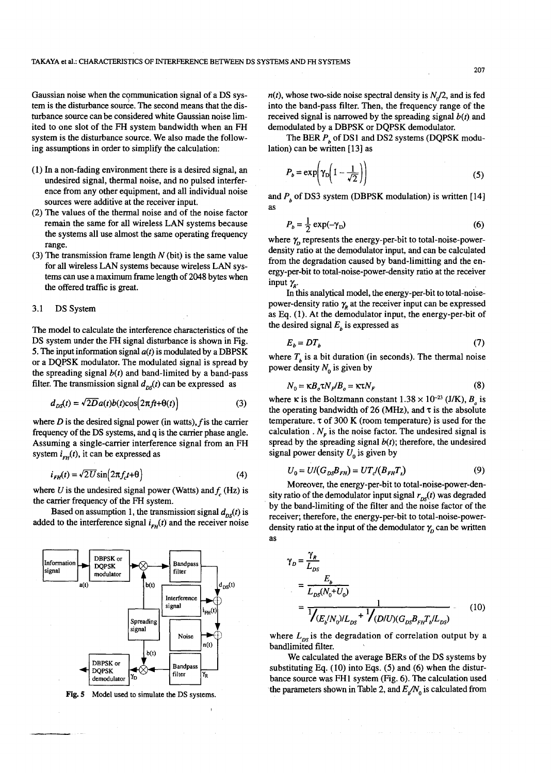Gaussian noise when the communication signal of a DS system is the disturbance source. The second means that the disturbance source can be considered white Gaussian noise limited to one slot of the FH system bandwidth when an FH system is the disturbance source. We also made the following assumptions in order to simplify the calculation:

- (1) In a non-fading environment there is a desired signal, an undesired signal, thermal noise, and no pulsed interference from any other equipment, and all individual noise sources were additive at the receiver input.
- (2) The values of the thermal noise and of the noise factor remain the same for all wireless LAN systems because the systems all use almost the same operating frequency range.
- (3) The transmission frame length  $N$  (bit) is the same value for all wireless LAN systems because wireless LAN systems can use a maximum frame length of 2048 bytes when the offered traffic is great.

#### 3.1 DS System

The model to calculate the interference characteristics of the DS system under the FH signal disturbance is shown in Fig. 5. The input information signal  $a(t)$  is modulated by a DBPSK or a DQPSK modulator. The modulated signal is spread by the spreading signal  $b(t)$  and band-limited by a band-pass filter. The transmission signal  $d_{DS}(t)$  can be expressed as

$$
d_{DS}(t) = \sqrt{2D}a(t)b(t)\cos(2\pi ft + \theta(t))
$$
\n(3)

where  $D$  is the desired signal power (in watts),  $f$  is the carrier frequency of the DS systems, and q is the carrier phase angle. Assuming a single-carrier interference signal from an FH system  $i_{FH}(t)$ , it can be expressed as

$$
i_{FH}(t) = \sqrt{2U}\sin\left(2\pi f_c t + \theta\right)
$$
\n(4)

where  $U$  is the undesired signal power (Watts) and  $f_{\rm g}$  (Hz) is the carrier frequency of the FH system.

Based on assumption 1, the transmission signal  $d_{ns}(t)$  is added to the interference signal  $i_{FH}(t)$  and the receiver noise



Fig. 5 Model used to simulate the DS systems.

 $n(t)$ , whose two-side noise spectral density is  $N<sub>n</sub>/2$ , and is fed into the band-pass filter. Then, the frequency range of the received signal is narrowed by the spreading signal  $b(t)$  and demodulated by a DBPSK or DQPSK demodulator.

The BER  $P<sub>b</sub>$  of DS1 and DS2 systems (DQPSK modulation) can be written [13] as

$$
P_b = \exp\left(\gamma_D \left(1 - \frac{1}{\sqrt{2}}\right)\right) \tag{5}
$$

and  $P_b$  of DS3 system (DBPSK modulation) is written [14] as

$$
P_b = \frac{1}{2} \exp(-\gamma_D) \tag{6}
$$

where  $\gamma$  represents the energy-per-bit to total-noise-powerdensity ratio at the demodulator input, and can be calculated from the degradation caused by band-limitting and the energy-per-bit to total-noise-power-density ratio at the receiver input  $\gamma$ <sup>*R*</sup></sub>.

In this analytical model, the energy-per-bit to total-noisepower-density ratio  $\gamma$ <sub>R</sub> at the receiver input can be expressed as Eq. (1). At the demodulator input, the energy-per-bit of the desired signal  $E<sub>b</sub>$  is expressed as

$$
E_b = DT_b \tag{7}
$$

where  $T_b$  is a bit duration (in seconds). The thermal noise power density  $N_0$  is given by

$$
N_0 = \kappa B_o \tau N_F / B_o = \kappa \tau N_F \tag{8}
$$

where  $\kappa$  is the Boltzmann constant  $1.38 \times 10^{-23}$  (J/K),  $B_a$  is the operating bandwidth of 26 (MHz), and  $\tau$  is the absolute temperature.  $\tau$  of 300 K (room temperature) is used for the calculation .  $N_F$  is the noise factor. The undesired signal is spread by the spreading signal  $b(t)$ ; therefore, the undesired signal power density  $U_0$  is given by

$$
U_0 = U/(G_{DS}B_{FH}) = UT_{c}(B_{FH}T_s)
$$
 (9)

Moreover, the energy-per-bit to total-noise-power-density ratio of the demodulator input signal  $r_{DS}(t)$  was degraded by the band-limiting of the filter and the noise factor of the receiver; therefore, the energy-per-bit to total-noise-powerdensity ratio at the input of the demodulator  $\gamma$ <sub>n</sub> can be written as

$$
\gamma_D = \frac{\gamma_R}{L_{DS}} = \frac{E_b}{L_{DS}(N_0 + U_0)} = \frac{1}{\frac{1}{\sqrt{(E_b/N_0)/L_{DS}} + \frac{1}{\sqrt{(D/U)(G_{DS}B_{FI}T_b/L_{DS})}}}
$$
(10)

where  $L_{DS}$  is the degradation of correlation output by a bandlimited filter.

We calculated the average BERs of the DS systems by substituting Eq.  $(10)$  into Eqs.  $(5)$  and  $(6)$  when the disturbance source was FHl system (Fig. 6). The calculation used the parameters shown in Table 2, and  $E_{\rm s}/N_{\rm o}$  is calculated from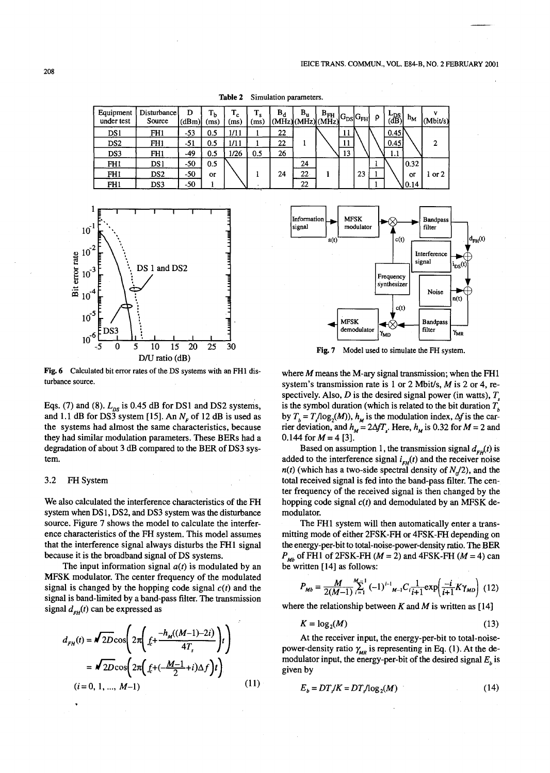Table 2 Simulation parameters.

| Equipment<br>under test | Disturbance<br>Source | D<br>(dBm) | Т <sub>b</sub><br>(ms) | $\mathbf{T_c}$<br>(ms) | $\mathbf{T_{s}}$<br>(ms) | $B_d$ | $\mathtt{B}_\mathtt{u}$<br>(MHz)(MHz)(MHz) | $\left  \int_{\Delta \times \text{H}_\text{tot}} B_{\text{DS}} \right  G_{\text{FH}}$ |    |    | O | $L_{DS}^{DS}$ | $h_M$ | v<br>(Mbit/s) |
|-------------------------|-----------------------|------------|------------------------|------------------------|--------------------------|-------|--------------------------------------------|---------------------------------------------------------------------------------------|----|----|---|---------------|-------|---------------|
| DS1                     | FH <sub>1</sub>       | $-53$      | 0.5                    | 1/11                   |                          | 22    |                                            |                                                                                       | 11 |    |   | 0.45          |       |               |
| DS <sub>2</sub>         | FH1                   | $-51$      | 0.5                    | 1/11                   |                          | 22    |                                            |                                                                                       | 11 |    |   | 0.45          |       | $\mathbf{2}$  |
| DS3                     | FH1                   | -49        | 0.5                    | 1/26                   | 0.5                      | 26    |                                            |                                                                                       | 13 |    |   | 1.1           |       |               |
| FH1                     | DS 1                  | $-50$      | 0.5                    |                        |                          |       | 24                                         |                                                                                       |    |    |   |               | 0.32  |               |
| FH1                     | DS <sub>2</sub>       | $-50$      | <b>OF</b>              |                        |                          | 24    | $22 -$                                     |                                                                                       |    | 23 |   |               | or    | $1$ or $2$    |
| FH1                     | DS3                   | $-50$      |                        |                        |                          |       | 22                                         |                                                                                       |    |    |   |               | 10.14 |               |
|                         |                       |            |                        |                        |                          |       |                                            |                                                                                       |    |    |   |               |       |               |



Fig.6 Calculated bit error rates of the DS systems with an FHl disturbance source.

Eqs. (7) and (8).  $L_{DS}$  is 0.45 dB for DS1 and DS2 systems, and 1.1 dB for DS3 system [15]. An  $N<sub>F</sub>$  of 12 dB is used as the systems had almost the same characteristics, because they had similar modulation parameters. These BERs had a degradation of about 3 dB compared to the BER of DS3 system.

#### 3.2 FH System

We also calculated the interference characteristics of the FH system when DS I, DS2, and DS3 system was the disturbance source. Figure 7 shows the model to calculate the interference characteristics of the FH system. This model assumes that the interference signal always disturbs the FHI signal because it is the broadband signal of DS systems.

The input information signal  $a(t)$  is modulated by an MFSK modulator. The center frequency of the modulated signal is changed by the hopping code signal  $c(t)$  and the signal is band-limited by a band-pass filter. The transmission signal  $d_{FH}$ (t) can be expressed as

$$
d_{FH}(t) = \sqrt{2D}\cos\left(2\pi\left(f_c + \frac{-h_M((M-1)-2i)}{4T_s}\right)t\right)
$$
  
=  $\sqrt{2D}\cos\left(2\pi\left(f_c + \left(-\frac{M-1}{2} + i\right)\Delta f\right)t\right)$ .  
(*i* = 0, 1, ..., *M*-1) (11)



Fig. 7 Model used to simulate the FH system.

where *M* means the M-ary signal transmission; when the FH1 system's transmission rate is 1 or 2 Mbit/s, *M* is 2 or 4, respectively. Also,  $D$  is the desired signal power (in watts),  $T<sub>s</sub>$ is the symbol duration (which is related to the bit duration  $T<sub>b</sub>$ by  $T<sub>k</sub> = T<sub>k</sub>/log<sub>2</sub>(M)$ ,  $h<sub>M</sub>$  is the modulation index,  $\Delta f$  is the carrier deviation, and  $h_M = 2\Delta f T_s$ . Here,  $h_M$  is 0.32 for  $M = 2$  and 0.144 for  $M = 4$  [3].

Based on assumption 1, the transmission signal  $d_{FH}(t)$  is added to the interference signal  $i_{FH}(t)$  and the receiver noise  $n(t)$  (which has a two-side spectral density of  $N<sub>n</sub>/2$ ), and the total received signal is fed into the band-pass filter. The center frequency of the received signal is then changed by the hopping code signal  $c(t)$  and demodulated by an MFSK demodulator.

The FH1 system will then automatically enter a transmitting mode of either 2FSK-FH or 4FSK-FH depending on the energy-per-bit to total-noise-power-density ratio. The BER  $P_{Mb}$  of FH1 of 2FSK-FH ( $M = 2$ ) and 4FSK-FH ( $M = 4$ ) can be written [14] as follows:

$$
P_{Mb} = \frac{M}{2(M-1)} \sum_{i=1}^{M-1} (-1)^{i-1} {}_{M-1}C_i \frac{1}{i+1} \exp\left(\frac{-i}{i+1}K\gamma_{MD}\right)
$$
 (12)

where the relationship between  $K$  and  $M$  is written as [14]

$$
K = \log_2(M) \tag{13}
$$

At the receiver input, the energy-per-bit to total-noisepower-density ratio  $\gamma_{MR}$  is representing in Eq. (1). At the demodulator input, the energy-per-bit of the desired signal  $E<sub>b</sub>$  is given by

$$
E_b = DT/K = DT\log_2(M) \tag{14}
$$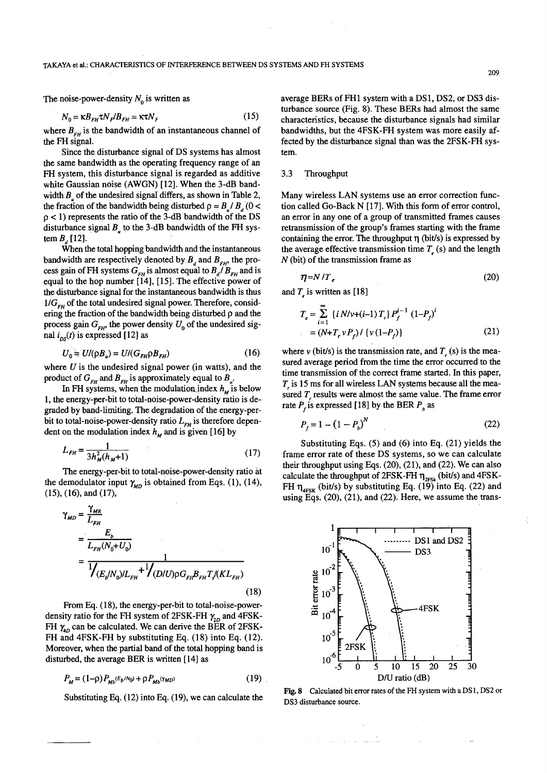The noise-power-density  $N_0$  is written as

$$
N_0 = \kappa B_{FH} \tau N_F / B_{FH} = \kappa \tau N_F \qquad (15)
$$

where  $B_{FH}$  is the bandwidth of an instantaneous channel of the FH signal.

Since the disturbance signal of DS systems has almost the same bandwidth as the operating frequency range of an FH system, this disturbance signal is regarded as additive white Gaussian noise (AWGN) [12]. When the 3-dB bandwidth  $B<sub>z</sub>$  of the undesired signal differs, as shown in Table 2, the fraction of the bandwidth being disturbed  $p = B / B$ , (0 <  $p < 1$ ) represents the ratio of the 3-dB bandwidth of the DS disturbance signal  $B<sub>u</sub>$  to the 3-dB bandwidth of the FH system  $B_{1}[12]$ .

When the total hopping bandwidth and the instantaneous bandwidth are respectively denoted by  $B<sub>r</sub>$  and  $B<sub>ext</sub>$ , the process gain of FH systems  $G_{FH}$  is almost equal to  $B_d/B_{FH}$  and is equal to the hop number [14], [15]. The effective power of the disturbance signal for the instantaneous bandwidth is thus  $1/G_{\mu\nu}$  of the total undesired signal power. Therefore, considering the fraction of the bandwidth being disturbed  $\rho$  and the process gain  $G_{\mu\nu}$ , the power density  $U_0$  of the undesired signal  $i_{ns}(t)$  is expressed [12] as

$$
U_0 = U/(\rho B_u) = U/(G_{FH}\rho B_{FH})
$$
 (16)

where  $U$  is the undesired signal power (in watts), and the product of  $G_{FH}$  and  $B_{FH}$  is approximately equal to  $B_{\mu}$ .

In FH systems, when the modulation index  $h_{\mu}$  is below 1, the energy-per-bit to total-noise-power-density ratio is degraded by band-limiting. The degradation of the energy-perbit to total-noise-power-density ratio  $L_{FH}$  is therefore dependent on the modulation index  $h_M$  and is given [16] by

$$
L_{FH} = \frac{1}{3h_M^2(h_M + 1)}\tag{17}
$$

The energy-per-bit to total-noise-power-density ratio at the demodulator input  $\gamma_{MD}$  is obtained from Eqs. (1), (14), (15), (16), and (17),

$$
\gamma_{MD} = \frac{\gamma_{MR}}{L_{FH}} = \frac{E_b}{L_{FH}(N_0 + U_0)} = \frac{1}{\sqrt{(E_b/N_0)/L_{FH} + \sqrt{(D/U)\rho G_{FH}B_{FH}T/(KL_{FH})}}}
$$
(18)

From Eq. (18), the energy-per-bit to total-noise-powerdensity ratio for the FH system of 2FSK-FH  $\gamma_{2D}$  and 4FSK-FH  $\gamma_{40}$  can be calculated. We can derive the BER of 2FSK-FH and 4FSK-FH by substituting Eq. (18) into Eq. (12). Moreover, when the partial band of the total hopping band is disturbed, the average BER is written [14] as

$$
P_M = (1 - \rho) P_{Mb}(\varepsilon_b / N_0) + \rho P_{Mb}(\gamma_{MD})
$$
\n(19)

average BERs of FH1 system with a DS1, DS2, or DS3 disturbance source (Fig. 8). These BERs had almost the same characteristics, because the disturbance signals had similar bandwidths, but the 4FSK-FH system was more easily affected by the disturbance signal than was the 2FSK-FH system.

## 3.3 Throughput

Many wireless LAN systems use an error correction function called Go-Back N [17]. With this form of error control, an error in anyone of a group of transmitted frames causes retransmission of the group's frames starting with the frame containing the error. The throughput  $\eta$  (bit/s) is expressed by the average effective transmission time  $T<sub>s</sub>$  (s) and the length N (bit) of the transmission frame as

$$
\eta = N/T_e \tag{20}
$$

and  $T<sub>z</sub>$  is written as [18]

$$
T_e = \sum_{i=1}^{\infty} \{i \, N/\nu + (i-1) \, T_i\} P_f^{i-1} \, (1 - P_f)^i
$$
\n
$$
= (N + T_r \, \nu \, P_f) / \{ \nu \, (1 - P_f) \}
$$
\n
$$
(21)
$$

where  $\nu$  (bit/s) is the transmission rate, and  $T<sub>z</sub>$  (s) is the measured average period from the time the error occurred to the time transmission of the correct frame started. In this paper,  $T<sub>i</sub>$  is 15 ms for all wireless LAN systems because all the measured T results were almost the same value. The frame error rate  $P<sub>f</sub>$  is expressed [18] by the BER  $P<sub>b</sub>$  as

$$
P_f = 1 - (1 - P_b)^N
$$
 (22)

Substituting Eqs. (5) and (6) into Eq. (21) yields the frame error rate of these DS systems, so we can calculate their throughput using Eqs. (20), (21), and (22). We can also calculate the throughput of 2FSK-FH  $\eta_{2FSk}$  (bit/s) and 4FSK-FH  $\eta_{\text{4FSK}}$  (bit/s) by substituting Eq. (19) into Eq. (22) and using Eqs. (20), (21), and (22). Here, we assume the trans-



Substituting Eq. (12) into Eq. (19), we can calculate the Fig. 8 Calculated bit error rates of the FH system with a DS1, DS2 or DS3 disturbance source.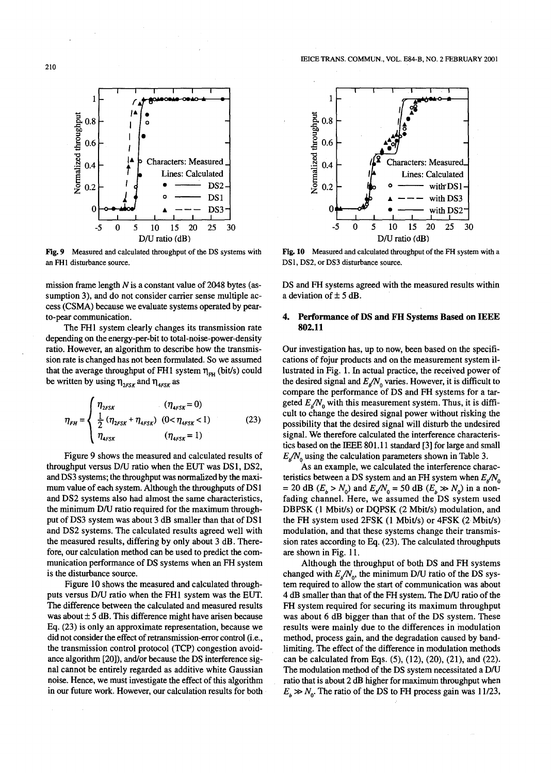

Fig. 9 Measured and calculated throughput of the OS systems with an FHI disturbance source.

mission frame length  $N$  is a constant value of 2048 bytes (assumption 3), and do not consider carrier sense multiple access (CSMA) because we evaluate systems operated by pearto-pear communication.

The FHl system clearly changes its transmission rate depending on the energy-per-bit to total-noise-power-density ratio. However, an algorithm to describe how the transmission rate is changed has not been formulated. So we assumed that the average throughput of FH1 system  $\eta_{\text{FH}}$  (bit/s) could be written by using  $\eta_{2FSK}$  and  $\eta_{4FSK}$  as

$$
\eta_{FH} = \begin{cases} \eta_{2FSK} & (\eta_{4FSK} = 0) \\ \frac{1}{2} (\eta_{2FSK} + \eta_{4FSK}) & (0 < \eta_{4FSK} < 1) \\ \eta_{4FSK} & (\eta_{4FSK} = 1) \end{cases}
$$
 (23)

Figure 9 shows the measured and calculated results of throughput versus D/U ratio when the EUT was DS1, DS2, and DS3 systems; the throughput was normalized by the maximum value of each system. Although the throughputs of DS 1 and DS2 systems also had almost the same characteristics, the minimum DIU ratio required for the maximum throughput of DS3 system was about 3 dB smaller than that of DS 1 and DS2 systems. The calculated results agreed well with the measured results, differing by only about 3 dB. Therefore, our calculation method can be used to predict the communication performance of DS systems when an FH system is the disturbance source.

Figure 10 shows the measured and calculated throughputs versus DIU ratio when the FHl system was the EUT. The difference between the calculated and measured results was about  $\pm$  5 dB. This difference might have arisen because Eq. (23) is only an approximate representation, because we did not consider the effect of retransmission-error control (i.e., the transmission control protocol (TCP) congestion avoidance algorithm [20]), and/or because the DS interference signal cannot be entirely regarded as additive white Gaussian noise. Hence, we must investigate the effect of this algorithm in our future work. However, our calculation results for both



Fig. 10 Measured and calculated throughput of the FH system with a DS1, DS2, or DS3 disturbance source.

DS and FH systems agreed with the measured results within a deviation of  $\pm$  5 dB.

## 4. Performance of DS and FH Systems Based on IEEE 802.11

Our investigation has, up to now, been based on the specifications of fojur products and on the measurement system illustrated in Fig. 1. In actual practice, the received power of the desired signal and  $E_s/N_0$  varies. However, it is difficult to compare the performance of DS and FH systems for a targeted  $E_{n}/N_0$  with this measurement system. Thus, it is difficult to change the desired signal power without risking the possibility that the desired signal will disturb the undesired signal. We therefore calculated the interference characteristics based on the IEEE 801.11 standard [3] for large and small  $E_p/N_0$  using the calculation parameters shown in Table 3.

As an example, we calculated the interference characteristics between a DS system and an FH system when  $E_{\rm g}/N_{\rm o}$ = 20 dB  $(E_b > N_0)$  and  $E_b/N_0 = 50$  dB  $(E_b \gg N_0)$  in a nonfading channel. Here, we assumed the DS system used DBPSK (1 Mbit/s) or DQPSK (2 Mbit/s) modulation, and the FH system used 2FSK (1 Mbit/s) or 4FSK (2 Mbit/s) modulation, and that these systems change their transmission rates according to Eq. (23). The calculated throughputs are shown in Fig. 11.

Although the throughput of both DS and FH systems changed with  $E_{\mu}/N_{0}$ , the minimum D/U ratio of the DS system required to allow the start of communication was about 4 dB smaller than that of the FH system. The D/U ratio of the FH system required for securing its maximum throughput was about 6 dB bigger than that of the DS system. These results were mainly due to the differences in modulation method, process gain, and the degradation caused by bandlimiting. The effect of the difference in modulation methods can be calculated from Eqs. (5), (12), (20), (21), and (22). The modulation method of the DS system necessitated a D/U ratio that is about 2 dB higher for maximum throughput when  $E_b \gg N_0$ . The ratio of the DS to FH process gain was 11/23,